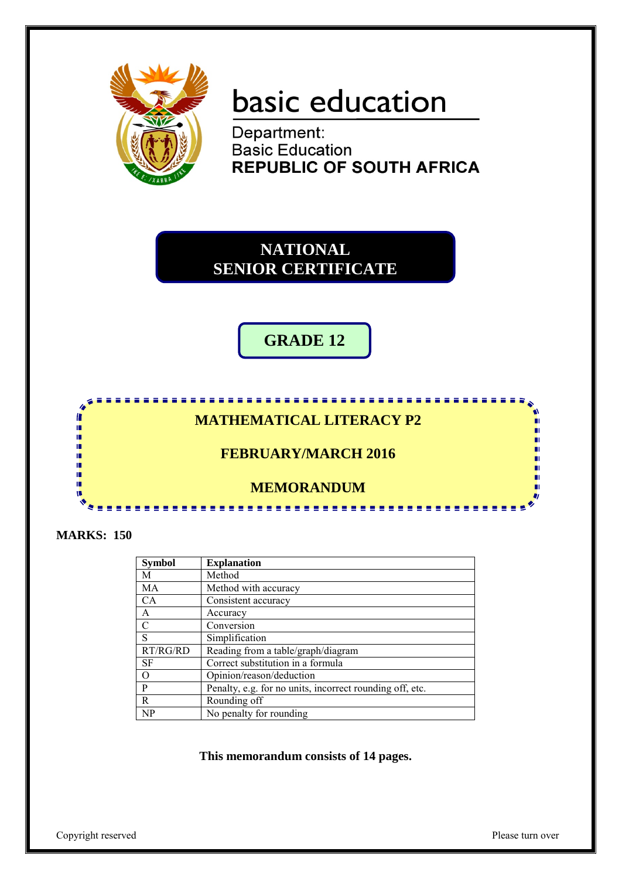

## basic education

Department: **Basic Education REPUBLIC OF SOUTH AFRICA** 

**NATIONAL SENIOR CERTIFICATE**

**GRADE 12**

## **MATHEMATICAL LITERACY P2**

<u>. . . . . . . . . . . . . .</u>

## **FEBRUARY/MARCH 2016**

## **MEMORANDUM**

**MARKS: 150**

In ı. Ш т'n m т'n ΙÚ, ш

| <b>Symbol</b> | <b>Explanation</b>                                       |
|---------------|----------------------------------------------------------|
| M             | Method                                                   |
| MA            | Method with accuracy                                     |
| <b>CA</b>     | Consistent accuracy                                      |
| A             | Accuracy                                                 |
| C             | Conversion                                               |
| S             | Simplification                                           |
| RT/RG/RD      | Reading from a table/graph/diagram                       |
| <b>SF</b>     | Correct substitution in a formula                        |
| $\Omega$      | Opinion/reason/deduction                                 |
| P             | Penalty, e.g. for no units, incorrect rounding off, etc. |
| R.            | Rounding off                                             |
| NP            | No penalty for rounding                                  |

**This memorandum consists of 14 pages.**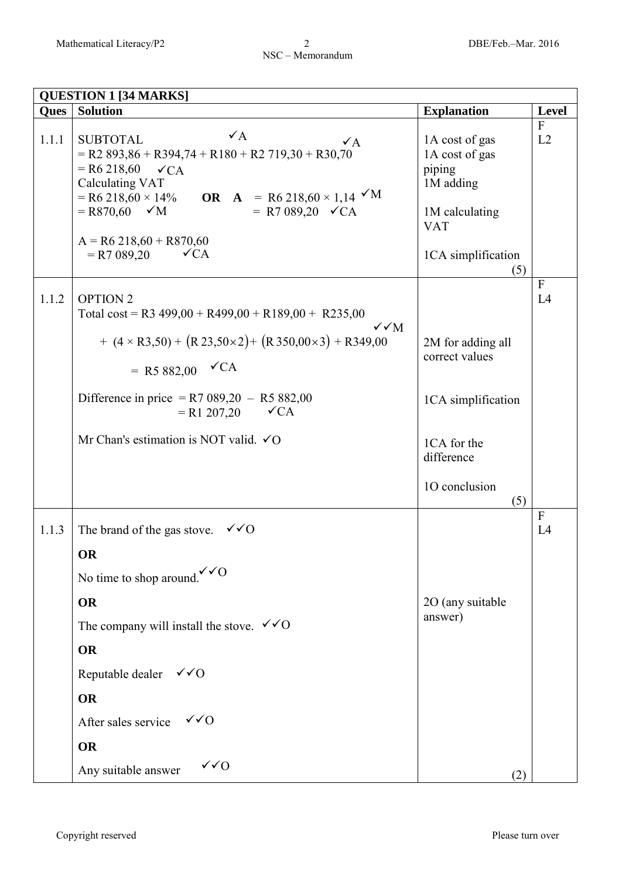|             | <b>QUESTION 1 [34 MARKS]</b>                                                                                                                                                                                                                                                                                                                   |                                                                                                               |                    |
|-------------|------------------------------------------------------------------------------------------------------------------------------------------------------------------------------------------------------------------------------------------------------------------------------------------------------------------------------------------------|---------------------------------------------------------------------------------------------------------------|--------------------|
| <b>Ques</b> | <b>Solution</b>                                                                                                                                                                                                                                                                                                                                | <b>Explanation</b>                                                                                            | <b>Level</b>       |
| 1.1.1       | $\checkmark$ A<br><b>SUBTOTAL</b><br>$\sqrt{A}$<br>$=$ R2 893,86 + R394,74 + R180 + R2 719,30 + R30,70<br>$=$ R6 218,60<br>$\checkmark$ CA<br>Calculating VAT<br>= R6 218,60 × 14% OR A = R6 218,60 × 1,14 $\sqrt{M}$<br>= R7 089,20 $\checkmark$ CA<br>$=$ R870,60 $\checkmark$ M<br>$A = R6 218,60 + R870,60$<br>$= R7089,20$<br>$\sqrt{CA}$ | 1A cost of gas<br>1A cost of gas<br>piping<br>1M adding<br>1M calculating<br><b>VAT</b><br>1CA simplification | $\mathbf{F}$<br>L2 |
| 1.1.2       | <b>OPTION 2</b><br>Total cost = R3 499,00 + R499,00 + R189,00 + R235,00<br>$\sqrt{\sqrt{M}}$<br>+ $(4 \times R3,50)$ + $(R23,50\times2)$ + $(R350,00\times3)$ + R349,00<br>= R5 882,00 $\checkmark$ CA                                                                                                                                         | (5)<br>2M for adding all<br>correct values                                                                    | $\mathbf{F}$<br>L4 |
|             | Difference in price = R7 089,20 - R5 882,00<br>$= R1 207,20$<br>$\checkmark$ CA<br>Mr Chan's estimation is NOT valid. $\checkmark$ O                                                                                                                                                                                                           | 1CA simplification<br>1CA for the<br>difference<br>10 conclusion<br>(5)                                       |                    |
| 1.1.3       | The brand of the gas stove.<br>$\sqrt{6}$<br>OR<br>No time to shop around. $\sqrt{\smash[b]{6}}$<br><b>OR</b><br>The company will install the stove. $\checkmark$ O<br><b>OR</b><br>Reputable dealer $\checkmark$ O<br><b>OR</b><br>$\sqrt{0}$<br>After sales service<br><b>OR</b>                                                             | 2O (any suitable<br>answer)                                                                                   | $\mathbf{F}$<br>L4 |
|             | $\sqrt{Q}$<br>Any suitable answer                                                                                                                                                                                                                                                                                                              | (2)                                                                                                           |                    |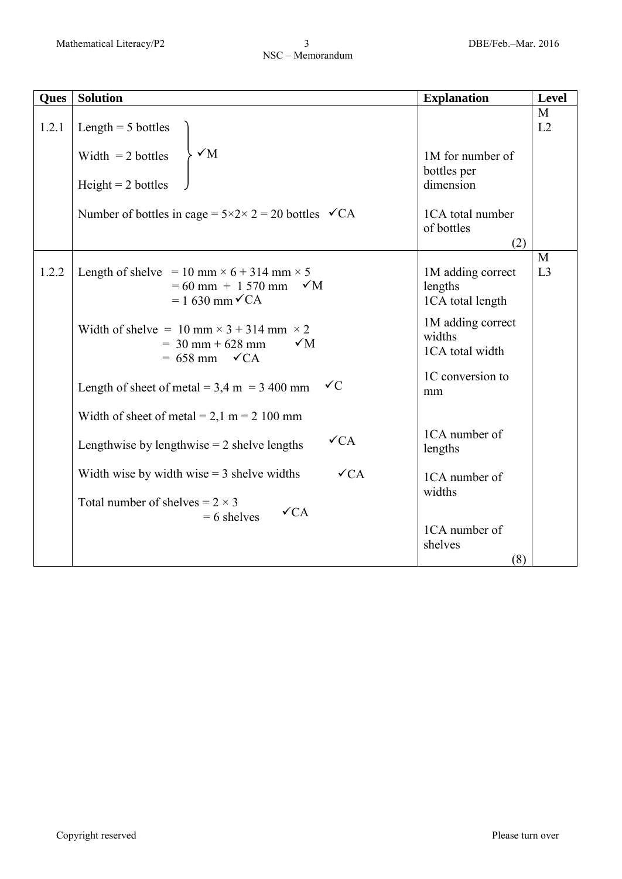| <b>Ques</b> | <b>Solution</b>                                                                                                               | <b>Explanation</b>                               | <b>Level</b>        |
|-------------|-------------------------------------------------------------------------------------------------------------------------------|--------------------------------------------------|---------------------|
| 1.2.1       | Length $=$ 5 bottles<br>$\sqrt{M}$<br>Width $= 2$ bottles                                                                     | 1M for number of                                 | M<br>L2             |
|             | $Height = 2 bottles$                                                                                                          | bottles per<br>dimension                         |                     |
|             | Number of bottles in cage = $5 \times 2 \times 2 = 20$ bottles $\checkmark$ CA                                                | 1CA total number<br>of bottles<br>(2)            |                     |
| 1.2.2       | Length of shelve = 10 mm $\times$ 6 + 314 mm $\times$ 5<br>$= 60$ mm + 1 570 mm<br>$\sqrt{M}$<br>$= 1.630$ mm $\checkmark$ CA | 1M adding correct<br>lengths<br>1CA total length | M<br>L <sub>3</sub> |
|             | Width of shelve = 10 mm $\times$ 3 + 314 mm $\times$ 2<br>$\sqrt{M}$<br>$=$ 30 mm + 628 mm<br>$= 658$ mm $\checkmark$ CA      | 1M adding correct<br>widths<br>1CA total width   |                     |
|             | $\sqrt{C}$<br>Length of sheet of metal = $3,4$ m = $3,400$ mm                                                                 | 1C conversion to<br>mm                           |                     |
|             | Width of sheet of metal = $2,1$ m = $2,100$ mm                                                                                |                                                  |                     |
|             | $\sqrt{CA}$<br>Lengthwise by lengthwise $= 2$ shelve lengths                                                                  | 1CA number of<br>lengths                         |                     |
|             | $\sqrt{CA}$<br>Width wise by width wise $=$ 3 shelve widths                                                                   | 1CA number of<br>widths                          |                     |
|             | Total number of shelves = $2 \times 3$<br>$\sqrt{CA}$<br>$= 6$ shelves                                                        |                                                  |                     |
|             |                                                                                                                               | 1CA number of<br>shelves<br>(8)                  |                     |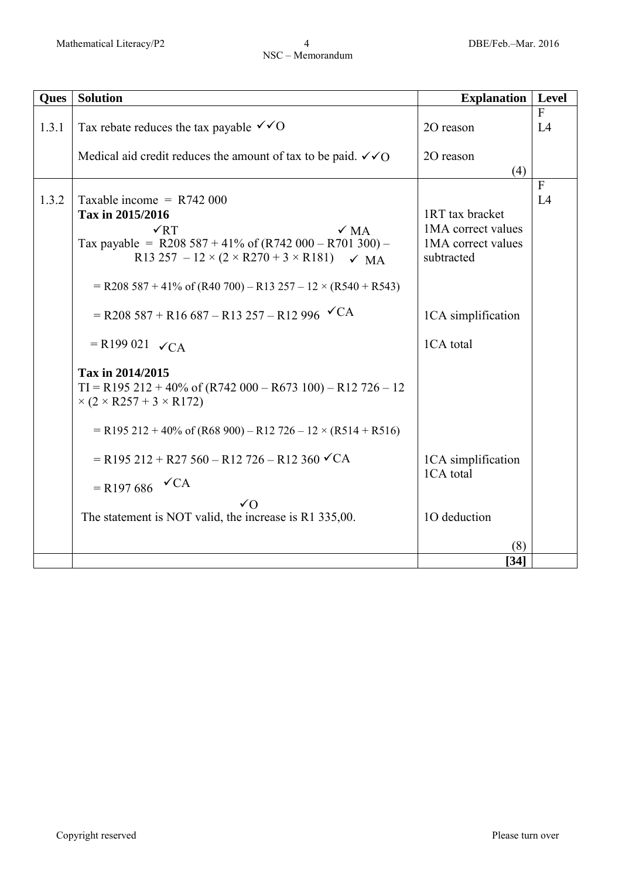| <b>Ques</b> | <b>Solution</b>                                                                                                                                                                                                                                                                      | <b>Explanation</b>                                                        | Level              |
|-------------|--------------------------------------------------------------------------------------------------------------------------------------------------------------------------------------------------------------------------------------------------------------------------------------|---------------------------------------------------------------------------|--------------------|
| 1.3.1       | Tax rebate reduces the tax payable $\checkmark$ O                                                                                                                                                                                                                                    | 20 reason                                                                 | $\mathbf{F}$<br>L4 |
|             | Medical aid credit reduces the amount of tax to be paid. $\checkmark$ of O                                                                                                                                                                                                           | 20 reason<br>(4)                                                          |                    |
| 1.3.2       | Taxable income = $R742000$<br>Tax in 2015/2016<br>$\sqrt{RT}$<br>$\sqrt{MA}$<br>Tax payable = R208 587 + 41% of $(R742 000 - R701 300)$ -<br>R13 257 – $12 \times (2 \times R270 + 3 \times R181)$ $\checkmark$ MA<br>$=$ R208 587 + 41% of (R40 700) – R13 257 – 12 × (R540 + R543) | 1RT tax bracket<br>1MA correct values<br>1MA correct values<br>subtracted | $\mathbf{F}$<br>L4 |
|             | $=$ R208 587 + R16 687 – R13 257 – R12 996 $\checkmark$ CA<br>$=$ R199 021 $\checkmark$ CA                                                                                                                                                                                           | 1CA simplification<br>1CA total                                           |                    |
|             | Tax in 2014/2015<br>$TI = R195 212 + 40\%$ of $(R742 000 - R673 100) - R12 726 - 12$<br>$\times$ (2 $\times$ R257 + 3 $\times$ R172)<br>$=$ R195 212 + 40% of (R68 900) – R12 726 – 12 × (R514 + R516)                                                                               |                                                                           |                    |
|             | $=$ R195 212 + R27 560 – R12 726 – R12 360 $\checkmark$ CA<br>$=$ R197686 $\checkmark$ CA<br>$\sqrt{O}$                                                                                                                                                                              | 1CA simplification<br>1CA total                                           |                    |
|             | The statement is NOT valid, the increase is R1 335,00.                                                                                                                                                                                                                               | 10 deduction<br>(8)                                                       |                    |
|             |                                                                                                                                                                                                                                                                                      | [34]                                                                      |                    |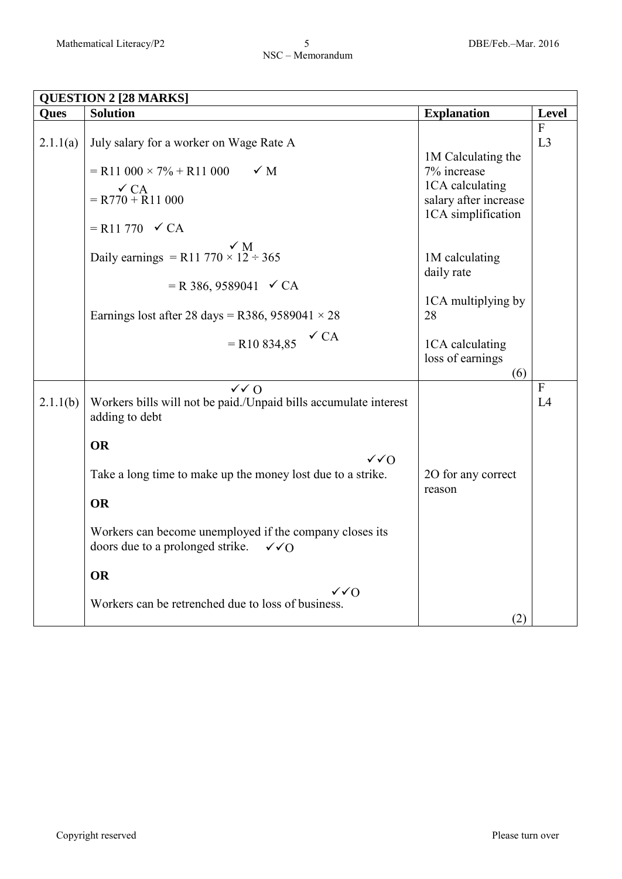| <b>QUESTION 2 [28 MARKS]</b> |                                                                                                                                                                                                                                                                                                                                                 |                                                                                                        |                    |
|------------------------------|-------------------------------------------------------------------------------------------------------------------------------------------------------------------------------------------------------------------------------------------------------------------------------------------------------------------------------------------------|--------------------------------------------------------------------------------------------------------|--------------------|
| <b>Ques</b>                  | <b>Solution</b>                                                                                                                                                                                                                                                                                                                                 | <b>Explanation</b>                                                                                     | Level              |
| 2.1.1(a)                     | July salary for a worker on Wage Rate A<br>$=$ R11 000 $\times$ 7% + R11 000<br>$\times$ M<br>$\checkmark$ CA<br>$=$ R770 + R11 000<br>$=$ R11 770 $\checkmark$ CA                                                                                                                                                                              | 1M Calculating the<br>7% increase<br>1CA calculating<br>salary after increase<br>1CA simplification    | $\mathbf{F}$<br>L3 |
|                              | Daily earnings = R11 770 $\times$ 12 ÷ 365<br>$=$ R 386, 9589041 $\checkmark$ CA<br>Earnings lost after 28 days = R386, 9589041 $\times$ 28<br>$\checkmark$ CA<br>$=$ R10 834,85                                                                                                                                                                | 1M calculating<br>daily rate<br>1CA multiplying by<br>28<br>1CA calculating<br>loss of earnings<br>(6) |                    |
| 2.1.1(b)                     | $\sqrt{0}$<br>Workers bills will not be paid./Unpaid bills accumulate interest<br>adding to debt<br><b>OR</b><br>$\sqrt{Q}$<br>Take a long time to make up the money lost due to a strike.<br><b>OR</b><br>Workers can become unemployed if the company closes its<br>doors due to a prolonged strike.<br>$\sqrt{0}$<br><b>OR</b><br>$\sqrt{0}$ | 20 for any correct<br>reason                                                                           | $\mathbf{F}$<br>L4 |
|                              | Workers can be retrenched due to loss of business.                                                                                                                                                                                                                                                                                              | (2)                                                                                                    |                    |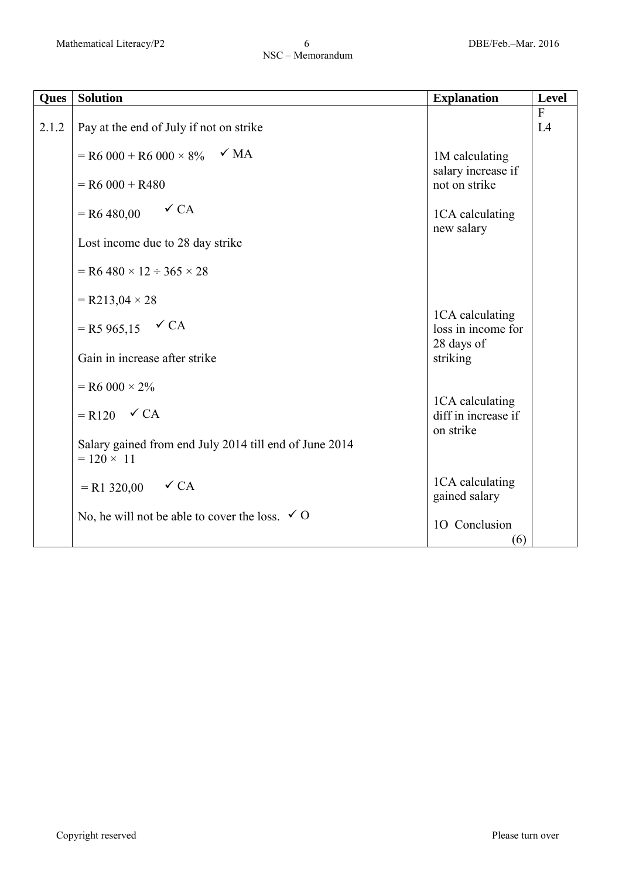| Ques  | <b>Solution</b>                                                             | <b>Explanation</b>                                  | Level              |
|-------|-----------------------------------------------------------------------------|-----------------------------------------------------|--------------------|
| 2.1.2 | Pay at the end of July if not on strike                                     |                                                     | $\mathbf{F}$<br>L4 |
|       | $\sqrt{MA}$<br>$=$ R6 000 + R6 000 $\times$ 8%                              | 1M calculating<br>salary increase if                |                    |
|       | $=$ R6 000 + R480                                                           | not on strike                                       |                    |
|       | $\checkmark$ CA<br>$=$ R6 480,00                                            | 1CA calculating<br>new salary                       |                    |
|       | Lost income due to 28 day strike                                            |                                                     |                    |
|       | $=$ R6 480 $\times$ 12 $\div$ 365 $\times$ 28                               |                                                     |                    |
|       | $= R213,04 \times 28$                                                       |                                                     |                    |
|       | $=$ R5 965,15 $\checkmark$ CA                                               | 1CA calculating<br>loss in income for<br>28 days of |                    |
|       | Gain in increase after strike                                               | striking                                            |                    |
|       | $=$ R6 000 $\times$ 2%                                                      | 1CA calculating                                     |                    |
|       | $= R120 \quad \checkmark$ CA                                                | diff in increase if<br>on strike                    |                    |
|       | Salary gained from end July 2014 till end of June 2014<br>$= 120 \times 11$ |                                                     |                    |
|       | $= R1 320,00$ $\checkmark$ CA                                               | 1CA calculating<br>gained salary                    |                    |
|       | No, he will not be able to cover the loss. $\checkmark$ O                   | 10 Conclusion<br>(6)                                |                    |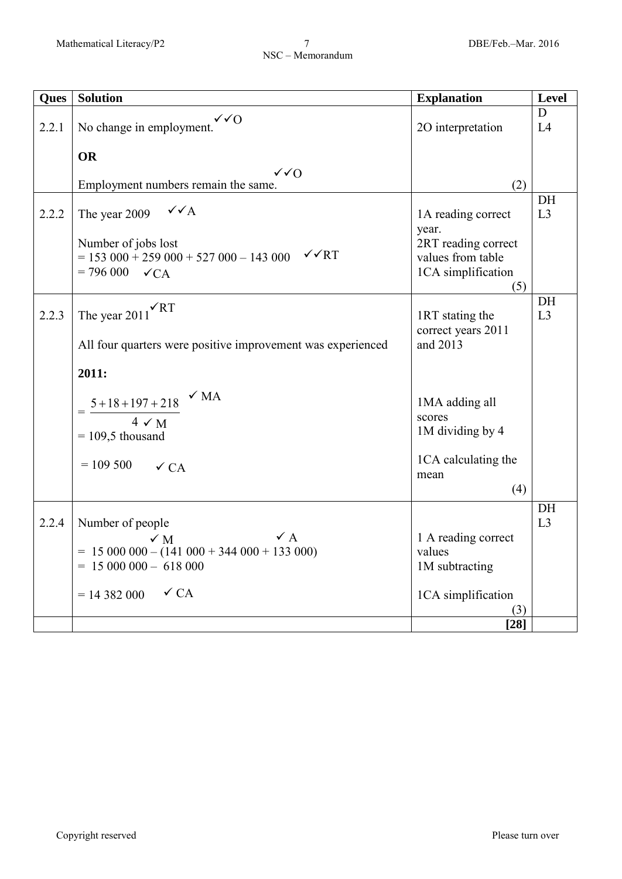| <b>Ques</b> | <b>Solution</b>                                                           | <b>Explanation</b>            | <b>Level</b> |
|-------------|---------------------------------------------------------------------------|-------------------------------|--------------|
| 2.2.1       | $\sqrt{O}$<br>No change in employment.                                    | 20 interpretation             | D<br>L4      |
|             | <b>OR</b>                                                                 |                               |              |
|             | $\sqrt{0}$                                                                |                               |              |
|             | Employment numbers remain the same.                                       | (2)                           |              |
| 2.2.2       | $\sqrt{\sqrt{A}}$<br>The year 2009                                        | 1A reading correct<br>year.   | DH<br>L3     |
|             | Number of jobs lost                                                       | 2RT reading correct           |              |
|             | $\sqrt{\sqrt{RT}}$<br>$= 153000 + 259000 + 527000 - 143000$               | values from table             |              |
|             | $= 796000 \quad \checkmark$ CA                                            | 1CA simplification            |              |
|             |                                                                           | (5)                           |              |
| 2.2.3       | $\sqrt{RT}$<br>The year $2011$                                            | 1RT stating the               | DH<br>L3     |
|             |                                                                           | correct years 2011            |              |
|             | All four quarters were positive improvement was experienced               | and 2013                      |              |
|             |                                                                           |                               |              |
|             | 2011:                                                                     |                               |              |
|             | $\sqrt{MA}$                                                               |                               |              |
|             | $\frac{5+18+197+218}{2}$                                                  | 1MA adding all<br>scores      |              |
|             | $4 \checkmark M$                                                          | 1M dividing by 4              |              |
|             | $= 109.5$ thousand                                                        |                               |              |
|             | $= 109500$<br>$\checkmark$ CA                                             | 1CA calculating the           |              |
|             |                                                                           | mean                          |              |
|             |                                                                           | (4)                           |              |
|             |                                                                           |                               | DH           |
| 2.2.4       | Number of people                                                          |                               | L3           |
|             | $\checkmark$ A<br>$\times$ M<br>$= 15000000 - (141000 + 344000 + 133000)$ | 1 A reading correct<br>values |              |
|             | $= 15000000 - 618000$                                                     | 1M subtracting                |              |
|             |                                                                           |                               |              |
|             | $\checkmark$ CA<br>$= 14382000$                                           | 1CA simplification            |              |
|             |                                                                           | (3)                           |              |
|             |                                                                           | $[28]$                        |              |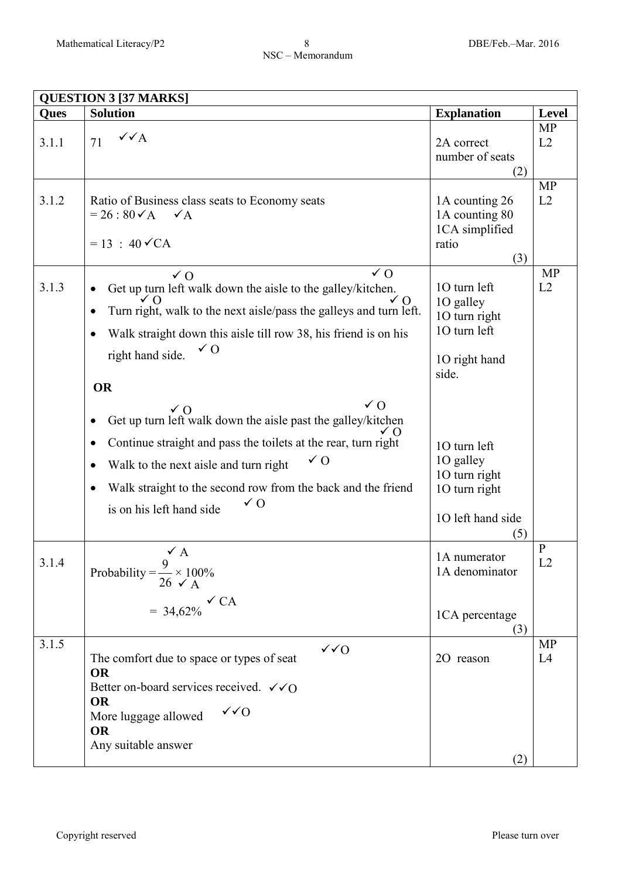| <b>QUESTION 3 [37 MARKS]</b> |                                                                                                                                                                                                                                                                                                                                                                         |                                                                                         |                    |
|------------------------------|-------------------------------------------------------------------------------------------------------------------------------------------------------------------------------------------------------------------------------------------------------------------------------------------------------------------------------------------------------------------------|-----------------------------------------------------------------------------------------|--------------------|
| Ques                         | <b>Solution</b>                                                                                                                                                                                                                                                                                                                                                         | <b>Explanation</b>                                                                      | <b>Level</b>       |
| 3.1.1                        | $\checkmark\checkmark$ A<br>71                                                                                                                                                                                                                                                                                                                                          | 2A correct<br>number of seats<br>(2)                                                    | <b>MP</b><br>L2    |
| 3.1.2                        | Ratio of Business class seats to Economy seats<br>$= 26 : 80 \checkmark$ A $\checkmark$ A<br>$= 13 : 40 \sqrt{CA}$                                                                                                                                                                                                                                                      | 1A counting 26<br>1A counting 80<br>1CA simplified<br>ratio<br>(3)                      | <b>MP</b><br>L2    |
| 3.1.3                        | $\sqrt{0}$<br>$\sqrt{0}$<br>Get up turn left walk down the aisle to the galley/kitchen.<br>٠<br>$\sqrt{0}$<br>✓∩<br>Turn right, walk to the next aisle/pass the galleys and turn left.<br>$\bullet$<br>Walk straight down this aisle till row 38, his friend is on his<br>$\bullet$<br>$\sqrt{0}$<br>right hand side.<br><b>OR</b>                                      | 10 turn left<br>1O galley<br>10 turn right<br>10 turn left<br>10 right hand<br>side.    | <b>MP</b><br>L2    |
|                              | $\sqrt{0}$<br>$\sqrt{0}$<br>Get up turn left walk down the aisle past the galley/kitchen<br>٠<br>Continue straight and pass the toilets at the rear, turn right<br>$\bullet$<br>$\sqrt{0}$<br>Walk to the next aisle and turn right<br>$\bullet$<br>Walk straight to the second row from the back and the friend<br>$\bullet$<br>$\sqrt{0}$<br>is on his left hand side | 10 turn left<br>1O galley<br>10 turn right<br>10 turn right<br>1O left hand side<br>(5) |                    |
| 3.1.4                        | $\checkmark$ A<br>Probability = $\frac{9}{26} \times 100\%$<br>$= 34,62\%$ $\check{C}A$                                                                                                                                                                                                                                                                                 | 1A numerator<br>1A denominator<br>1CA percentage<br>(3)                                 | $\mathbf{P}$<br>L2 |
| 3.1.5                        | $\sqrt{6}$<br>The comfort due to space or types of seat<br><b>OR</b><br>Better on-board services received. $\checkmark$ O<br><b>OR</b><br>$\sqrt{}$<br>More luggage allowed<br><b>OR</b><br>Any suitable answer                                                                                                                                                         | 20 reason<br>(2)                                                                        | <b>MP</b><br>L4    |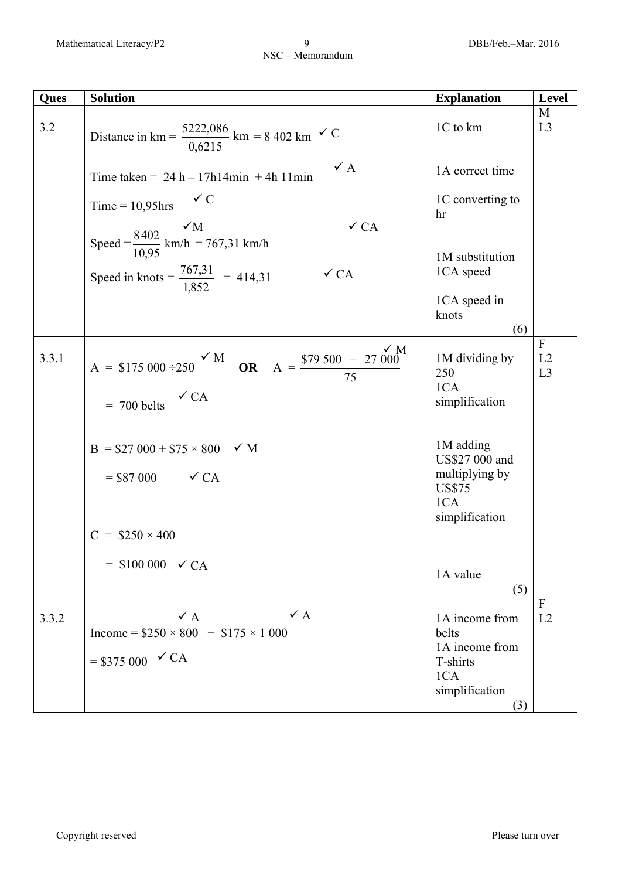| Ques  | <b>Solution</b>                                                                                                        | <b>Explanation</b>                                                                      | <b>Level</b>             |
|-------|------------------------------------------------------------------------------------------------------------------------|-----------------------------------------------------------------------------------------|--------------------------|
| 3.2   | Distance in km = $\frac{5222,086}{0,6215}$ km = 8 402 km $\checkmark$ C                                                | 1C to km                                                                                | M<br>L3                  |
|       | $\checkmark$ A<br>Time taken = $24 h - 17h14min + 4h11min$                                                             | 1A correct time                                                                         |                          |
|       | $\checkmark$ C<br>Time = $10,95$ hrs<br>$\checkmark$ CA                                                                | 1C converting to<br>hr                                                                  |                          |
|       | Speed = $\frac{8402}{10,95}$ km/h = 767,31 km/h<br>Speed in knots = $\frac{767,31}{1,852}$ = 414,31<br>$\checkmark$ CA | 1M substitution<br>1CA speed<br>1CA speed in<br>knots<br>(6)                            |                          |
| 3.3.1 | A = \$175 000 ÷250 $\times$ M OR A = $\frac{$79,500 - 27,000}{$75}$<br>$\checkmark$ CA<br>$= 700$ belts                | 1M dividing by<br>250<br>1CA<br>simplification                                          | $\mathbf{F}$<br>L2<br>L3 |
|       | $B = $27\,000 + $75 \times 800$ $\checkmark M$<br>$= $87\,000$ $\checkmark$ CA<br>$C = $250 \times 400$                | 1M adding<br>US\$27 000 and<br>multiplying by<br><b>US\$75</b><br>1CA<br>simplification |                          |
|       | $=$ \$100 000 $\checkmark$ CA                                                                                          | 1A value<br>(5)                                                                         |                          |
| 3.3.2 | $\checkmark$ A<br>$\vee$ A<br>Income = $$250 \times 800$ + $$175 \times 1000$<br>$= $375\,000 \,$ $\checkmark$ CA      | 1A income from<br>belts<br>1A income from<br>T-shirts<br>1CA<br>simplification<br>(3)   | $\mathbf{F}$<br>L2       |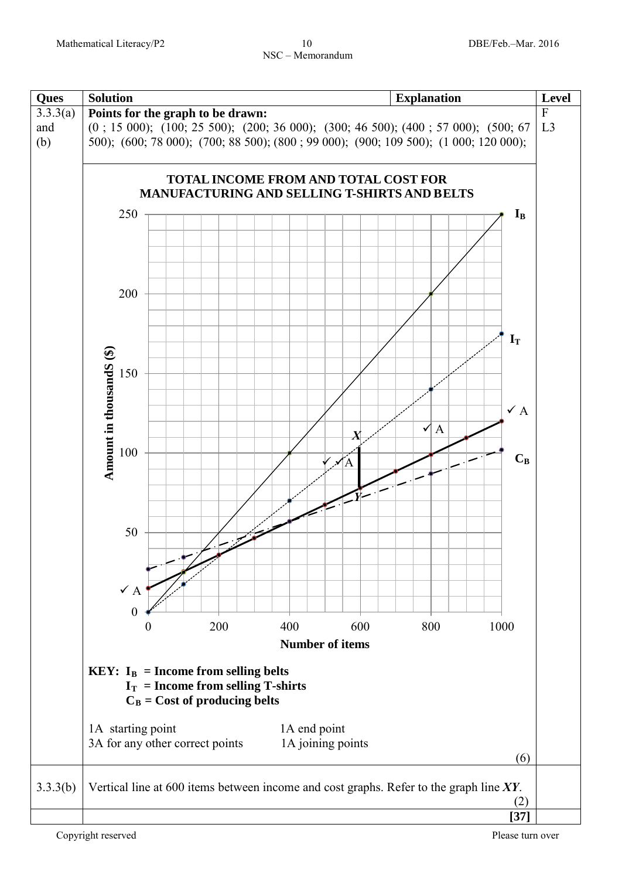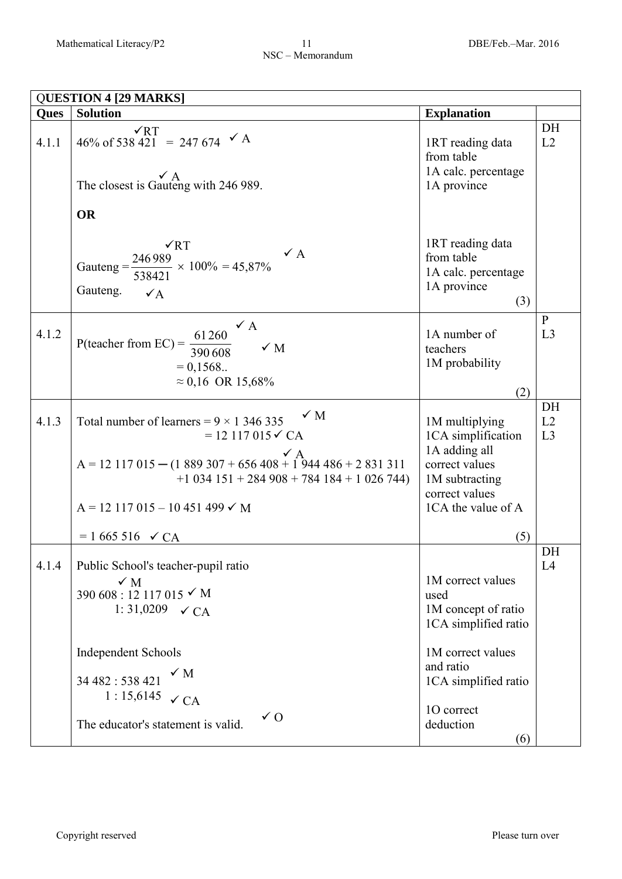|             | <b>QUESTION 4 [29 MARKS]</b>                                                                                                                                                                                                                          |                                                                                                                                   |                    |  |
|-------------|-------------------------------------------------------------------------------------------------------------------------------------------------------------------------------------------------------------------------------------------------------|-----------------------------------------------------------------------------------------------------------------------------------|--------------------|--|
| <b>Ques</b> | <b>Solution</b>                                                                                                                                                                                                                                       | <b>Explanation</b>                                                                                                                |                    |  |
| 4.1.1       | $\sqrt{RT}$<br>46% of 538 421 = 247 674 $\checkmark$ A<br>$\mathbf{v}$ A<br>The closest is Gauteng with 246 989.                                                                                                                                      | 1RT reading data<br>from table<br>1A calc. percentage<br>1A province                                                              | DH<br>L2           |  |
|             | <b>OR</b>                                                                                                                                                                                                                                             |                                                                                                                                   |                    |  |
|             | $\sqrt{RT}$<br>$\checkmark$ A<br>Gauteng = $\frac{246989}{538421}$ × 100% = 45,87%<br>Gauteng.<br>$\checkmark$ A                                                                                                                                      | 1RT reading data<br>from table<br>1A calc. percentage<br>1A province<br>(3)                                                       |                    |  |
| 4.1.2       | $\checkmark$ A<br>P(teacher from EC) = $\frac{61260}{225}$<br>$\checkmark$ M<br>390 608<br>$= 0.1568$<br>$\approx 0.16$ OR 15,68%                                                                                                                     | 1A number of<br>teachers<br>1M probability<br>(2)                                                                                 | $\mathbf{P}$<br>L3 |  |
| 4.1.3       | $\checkmark$ M<br>Total number of learners = $9 \times 1346335$<br>$= 12117015 \checkmark$ CA<br>$A = 12117015 - (1889307 + 656408 + 1944486 + 2831311)$<br>$+1$ 034 151 + 284 908 + 784 184 + 1 026 744)<br>$A = 12117015 - 10451499$ $\checkmark$ M | 1M multiplying<br>1CA simplification<br>1A adding all<br>correct values<br>1M subtracting<br>correct values<br>1CA the value of A | DH<br>L2<br>L3     |  |
|             | $= 1665516 \checkmark$ CA                                                                                                                                                                                                                             | (5)                                                                                                                               |                    |  |
| 4.1.4       | Public School's teacher-pupil ratio<br>$\checkmark$ M<br>390 608 : 12 117 015 $\times$ M<br>1:31,0209 $\checkmark$ CA                                                                                                                                 | 1M correct values<br>used<br>1M concept of ratio<br>1CA simplified ratio                                                          | DH<br>L4           |  |
|             | <b>Independent Schools</b><br>$\checkmark$ M<br>34 482: 538 421<br>1:15,6145<br>$\checkmark$ CA<br>$\sqrt{0}$<br>The educator's statement is valid.                                                                                                   | 1M correct values<br>and ratio<br>1CA simplified ratio<br>10 correct<br>deduction<br>(6)                                          |                    |  |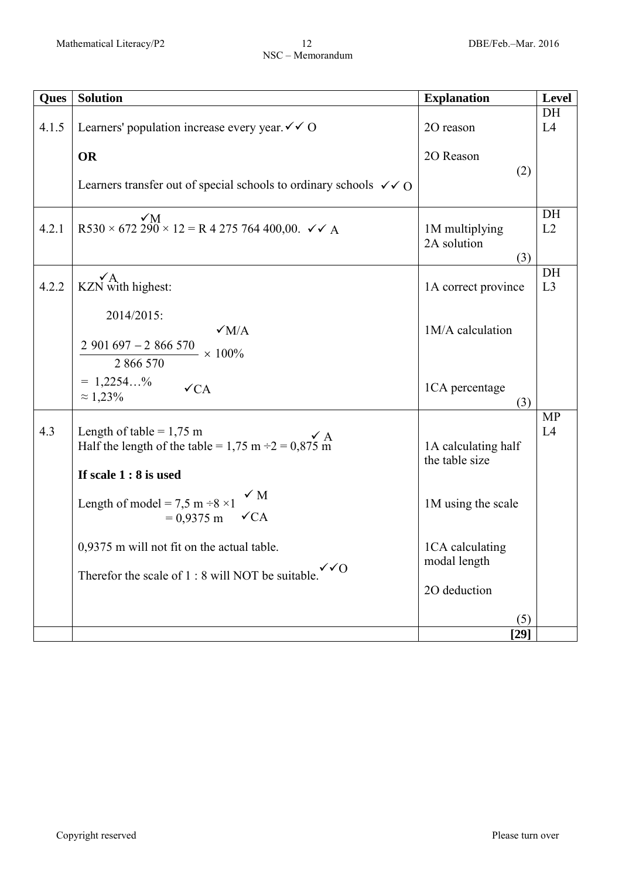| Ques  | <b>Solution</b>                                                                                                  | <b>Explanation</b>                    | <b>Level</b>    |
|-------|------------------------------------------------------------------------------------------------------------------|---------------------------------------|-----------------|
| 4.1.5 | Learners' population increase every year $\checkmark \checkmark$ O                                               | 2O reason                             | DH<br>L4        |
|       | <b>OR</b>                                                                                                        | 20 Reason                             |                 |
|       | Learners transfer out of special schools to ordinary schools $\checkmark$ O                                      | (2)                                   |                 |
| 4.2.1 | $R530 \times 672290 \times 12 = R4275764400,00. \checkmark$ A                                                    | 1M multiplying<br>2A solution<br>(3)  | DH<br>L2        |
| 4.2.2 | $\mathbf{v}$ A<br>KZN with highest:                                                                              | 1A correct province                   | DH<br>L3        |
|       | 2014/2015:<br>$\sqrt{M/A}$<br>$2901697 - 2866570$<br>$- \times 100\%$<br>2 866 570                               | 1M/A calculation                      |                 |
|       | $= 1,2254%$<br>$\checkmark$ CA<br>$\approx 1,23\%$                                                               | 1CA percentage<br>(3)                 |                 |
| 4.3   | Length of table = $1,75$ m<br>Half the length of the table = 1,75 m $\div 2 = 0.875$ m<br>If scale $1:8$ is used | 1A calculating half<br>the table size | <b>MP</b><br>L4 |
|       | $\checkmark$ M<br>Length of model = $7,5$ m $\div 8 \times 1$<br>$= 0.9375 \text{ m}$ $\checkmark$ CA            | 1M using the scale                    |                 |
|       | 0,9375 m will not fit on the actual table.<br>$\sqrt{0}$<br>Therefor the scale of 1 : 8 will NOT be suitable.    | 1CA calculating<br>modal length       |                 |
|       |                                                                                                                  | 2O deduction<br>(5)                   |                 |
|       |                                                                                                                  | $[29]$                                |                 |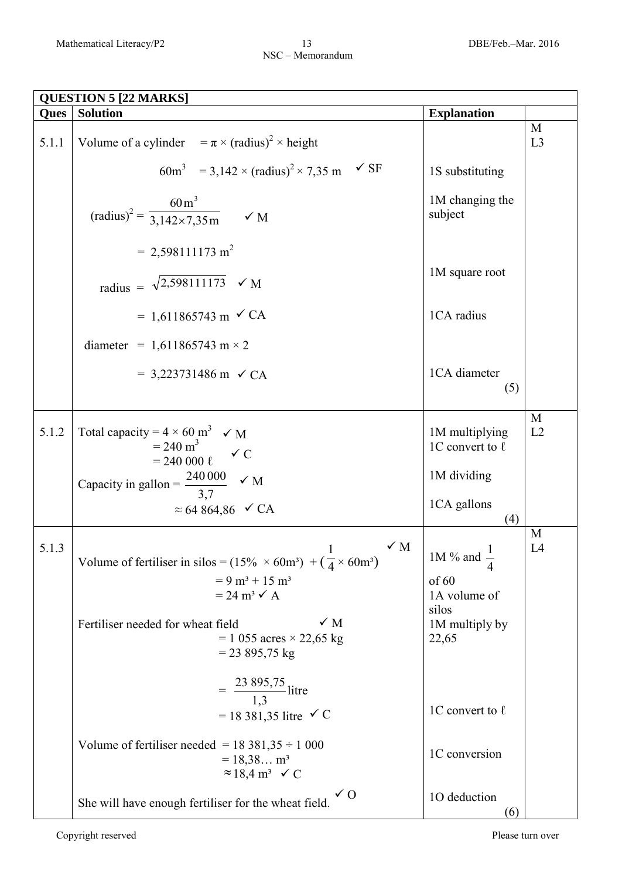| <b>QUESTION 5 [22 MARKS]</b> |                                                                                                                                                                                |                                             |         |
|------------------------------|--------------------------------------------------------------------------------------------------------------------------------------------------------------------------------|---------------------------------------------|---------|
| Ques                         | <b>Solution</b>                                                                                                                                                                | <b>Explanation</b>                          |         |
| 5.1.1                        | Volume of a cylinder $= \pi \times (radians)^2 \times height$                                                                                                                  |                                             | M<br>L3 |
|                              | $\checkmark$ SF<br>$60m^3$ = 3,142 × (radius) <sup>2</sup> × 7,35 m                                                                                                            | 1S substituting                             |         |
|                              | $\text{(radius)}^2 = \frac{60 \text{ m}^3}{3,142 \times 7,35 \text{ m}}$ $\checkmark$ M                                                                                        | 1M changing the<br>subject                  |         |
|                              | $= 2,598111173 \text{ m}^2$                                                                                                                                                    |                                             |         |
|                              | radius = $\sqrt{2,598111173}$ $\checkmark$ M                                                                                                                                   | 1M square root                              |         |
|                              | = 1,611865743 m $\checkmark$ CA                                                                                                                                                | 1CA radius                                  |         |
|                              | diameter = 1,611865743 m $\times$ 2                                                                                                                                            |                                             |         |
|                              | $= 3,223731486$ m $\checkmark$ CA                                                                                                                                              | 1CA diameter<br>(5)                         |         |
| 5.1.2                        | Total capacity = $4 \times 60$ m <sup>3</sup> $\checkmark$ M<br>$= 240 \text{ m}^3$<br>$= 240000 \text{ }\ell \quad \checkmark C$                                              | 1M multiplying<br>1C convert to $\ell$      | M<br>L2 |
|                              | Capacity in gallon = $\frac{240\,000}{3,7}$ $\checkmark$ M                                                                                                                     | 1M dividing                                 |         |
|                              | ≈ 64 864,86 $\checkmark$ CA                                                                                                                                                    | 1CA gallons<br>(4)                          |         |
| 5.1.3                        | $\times$ M<br>1<br>Volume of fertiliser in silos = $(15\% \times 60m^3) + (\frac{1}{4} \times 60m^3)$<br>$= 9 \text{ m}^3 + 15 \text{ m}^3$<br>$= 24 \text{ m}^3 \checkmark$ A | $1M\%$ and $\cdot$<br>of 60<br>1A volume of | M<br>L4 |
|                              | $\checkmark$ M<br>Fertiliser needed for wheat field<br>$= 1055 \text{ acres} \times 22,65 \text{ kg}$<br>$= 23895,75 \text{ kg}$                                               | silos<br>1M multiply by<br>22,65            |         |
|                              | $=\frac{23895,75}{1,3}$ litre<br>= 18 381,35 litre $\checkmark$ C                                                                                                              | 1C convert to $\ell$                        |         |
|                              | Volume of fertiliser needed = $18\,381,35 \div 1\,000$<br>$= 18,38$ m <sup>3</sup><br>$\approx$ 18,4 m <sup>3</sup> $\checkmark$ C                                             | 1C conversion                               |         |
|                              | $\sqrt{0}$<br>She will have enough fertiliser for the wheat field.                                                                                                             | 1O deduction<br>(6)                         |         |